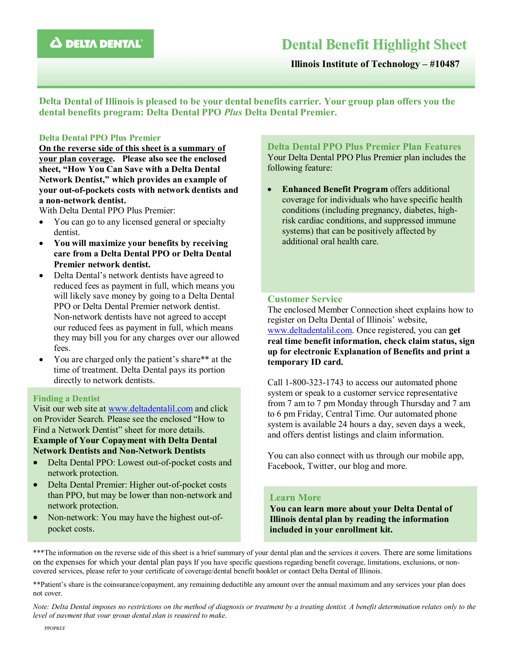# **Dental Benefit Highlight Sheet**

Illinois Institute of Technology – #10487

Delta Dental of Illinois is pleased to be your dental benefits carrier. Your group plan offers you the dental benefits program: Delta Dental PPO *Plus* Delta Dental Premier.

### Delta Dental PPO Plus Premier

On the reverse side of this sheet is a summary of your plan coverage. Please also see the enclosed sheet, "How You Can Save with a Delta Dental Network Dentist," which provides an example of your out-of-pockets costs with network dentists and a non-network dentist.

With Delta Dental PPO Plus Premier:

- You can go to any licensed general or specialty dentist.
- You will maximize your benefits by receiving care from a Delta Dental PPO or Delta Dental Premier network dentist.
- Delta Dental's network dentists have agreed to reduced fees as payment in full, which means you will likely save money by going to a Delta Dental PPO or Delta Dental Premier network dentist. Non-network dentists have not agreed to accept our reduced fees as payment in full, which means they may bill you for any charges over our allowed fees.
- You are charged only the patient's share\*\* at the time of treatment. Delta Dental pays its portion directly to network dentists.

#### Finding a Dentist

Visit our web site at www.deltadentalil.com and click on Provider Search. Please see the enclosed "How to Find a Network Dentist" sheet for more details. Example of Your Copayment with Delta Dental Network Dentists and Non-Network Dentists

- Delta Dental PPO: Lowest out-of-pocket costs and network protection.
- Delta Dental Premier: Higher out-of-pocket costs than PPO, but may be lower than non-network and network protection.
- Non-network: You may have the highest out-ofpocket costs.

Delta Dental PPO Plus Premier Plan Features Your Delta Dental PPO Plus Premier plan includes the following feature:

• Enhanced Benefit Program offers additional coverage for individuals who have specific health conditions (including pregnancy, diabetes, highrisk cardiac conditions, and suppressed immune systems) that can be positively affected by additional oral health care.

## Customer Service

The enclosed Member Connection sheet explains how to register on Delta Dental of Illinois' website, www.deltadentalil.com. Once registered, you can get real time benefit information, check claim status, sign up for electronic Explanation of Benefits and print a temporary ID card.

Call 1-800-323-1743 to access our automated phone system or speak to a customer service representative from 7 am to 7 pm Monday through Thursday and 7 am to 6 pm Friday, Central Time. Our automated phone system is available 24 hours a day, seven days a week, and offers dentist listings and claim information.

You can also connect with us through our mobile app, Facebook, Twitter, our blog and more.

## Learn More

You can learn more about your Delta Dental of Illinois dental plan by reading the information included in your enrollment kit.

\*\*\*The information on the reverse side of this sheet is a brief summary of your dental plan and the services it covers. There are some limitations on the expenses for which your dental plan pays If you have specific questions regarding benefit coverage, limitations, exclusions, or noncovered services, please refer to your certificate of coverage/dental benefit booklet or contact Delta Dental of Illinois.

\*\*Patient's share is the coinsurance/copayment, any remaining deductible any amount over the annual maximum and any services your plan does not cover.

*Note: Delta Dental imposes no restrictions on the method of diagnosis or treatment by a treating dentist. A benefit determination relates only to the level of payment that your group dental plan is required to make*.